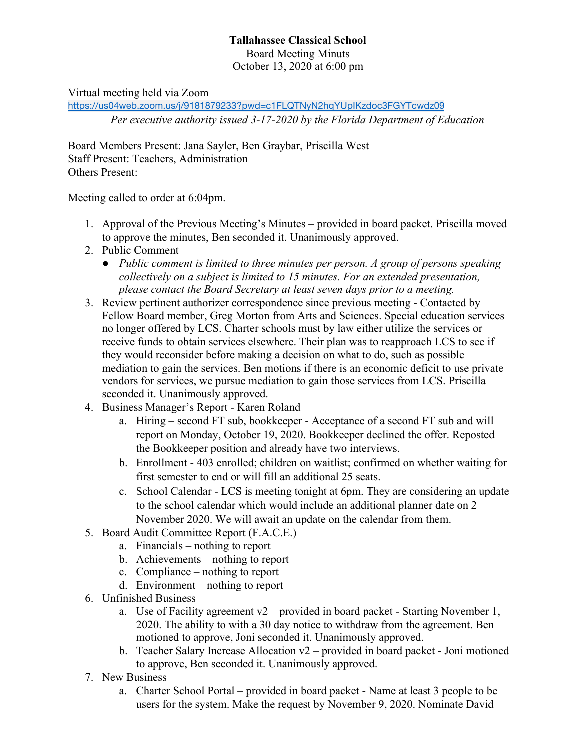## **Tallahassee Classical School** Board Meeting Minuts October 13, 2020 at 6:00 pm

Virtual meeting held via Zoom

<https://us04web.zoom.us/j/9181879233?pwd=c1FLQTNyN2hqYUpIKzdoc3FGYTcwdz09> *Per executive authority issued 3-17-2020 by the Florida Department of Education*

Board Members Present: Jana Sayler, Ben Graybar, Priscilla West Staff Present: Teachers, Administration Others Present:

Meeting called to order at 6:04pm.

- 1. Approval of the Previous Meeting's Minutes provided in board packet. Priscilla moved to approve the minutes, Ben seconded it. Unanimously approved.
- 2. Public Comment
	- *● Public comment is limited to three minutes per person. A group of persons speaking collectively on a subject is limited to 15 minutes. For an extended presentation, please contact the Board Secretary at least seven days prior to a meeting.*
- 3. Review pertinent authorizer correspondence since previous meeting Contacted by Fellow Board member, Greg Morton from Arts and Sciences. Special education services no longer offered by LCS. Charter schools must by law either utilize the services or receive funds to obtain services elsewhere. Their plan was to reapproach LCS to see if they would reconsider before making a decision on what to do, such as possible mediation to gain the services. Ben motions if there is an economic deficit to use private vendors for services, we pursue mediation to gain those services from LCS. Priscilla seconded it. Unanimously approved.
- 4. Business Manager's Report Karen Roland
	- a. Hiring second FT sub, bookkeeper Acceptance of a second FT sub and will report on Monday, October 19, 2020. Bookkeeper declined the offer. Reposted the Bookkeeper position and already have two interviews.
	- b. Enrollment 403 enrolled; children on waitlist; confirmed on whether waiting for first semester to end or will fill an additional 25 seats.
	- c. School Calendar LCS is meeting tonight at 6pm. They are considering an update to the school calendar which would include an additional planner date on 2 November 2020. We will await an update on the calendar from them.
- 5. Board Audit Committee Report (F.A.C.E.)
	- a. Financials nothing to report
	- b. Achievements nothing to report
	- c. Compliance nothing to report
	- d. Environment nothing to report
- 6. Unfinished Business
	- a. Use of Facility agreement  $v^2$  provided in board packet Starting November 1, 2020. The ability to with a 30 day notice to withdraw from the agreement. Ben motioned to approve, Joni seconded it. Unanimously approved.
	- b. Teacher Salary Increase Allocation v2 provided in board packet Joni motioned to approve, Ben seconded it. Unanimously approved.
- 7. New Business
	- a. Charter School Portal provided in board packet Name at least 3 people to be users for the system. Make the request by November 9, 2020. Nominate David